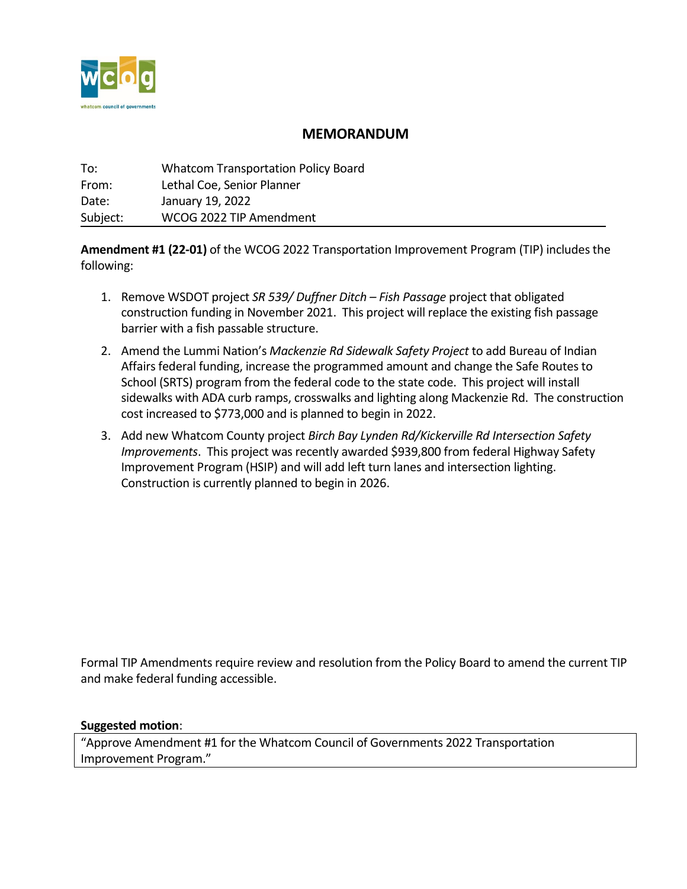

## **MEMORANDUM**

| To:      | <b>Whatcom Transportation Policy Board</b> |
|----------|--------------------------------------------|
| From:    | Lethal Coe, Senior Planner                 |
| Date:    | January 19, 2022                           |
| Subject: | WCOG 2022 TIP Amendment                    |

**Amendment #1 (22-01)** of the WCOG 2022 Transportation Improvement Program (TIP) includes the following:

- 1. Remove WSDOT project *SR 539/ Duffner Ditch Fish Passage* project that obligated construction funding in November 2021. This project will replace the existing fish passage barrier with a fish passable structure.
- 2. Amend the Lummi Nation's *Mackenzie Rd Sidewalk Safety Project* to add Bureau of Indian Affairs federal funding, increase the programmed amount and change the Safe Routes to School (SRTS) program from the federal code to the state code. This project will install sidewalks with ADA curb ramps, crosswalks and lighting along Mackenzie Rd. The construction cost increased to \$773,000 and is planned to begin in 2022.
- 3. Add new Whatcom County project *Birch Bay Lynden Rd/Kickerville Rd Intersection Safety Improvements*. This project was recently awarded \$939,800 from federal Highway Safety Improvement Program (HSIP) and will add left turn lanes and intersection lighting. Construction is currently planned to begin in 2026.

Formal TIP Amendments require review and resolution from the Policy Board to amend the current TIP and make federal funding accessible.

**Suggested motion**:

"Approve Amendment #1 for the Whatcom Council of Governments 2022 Transportation Improvement Program."